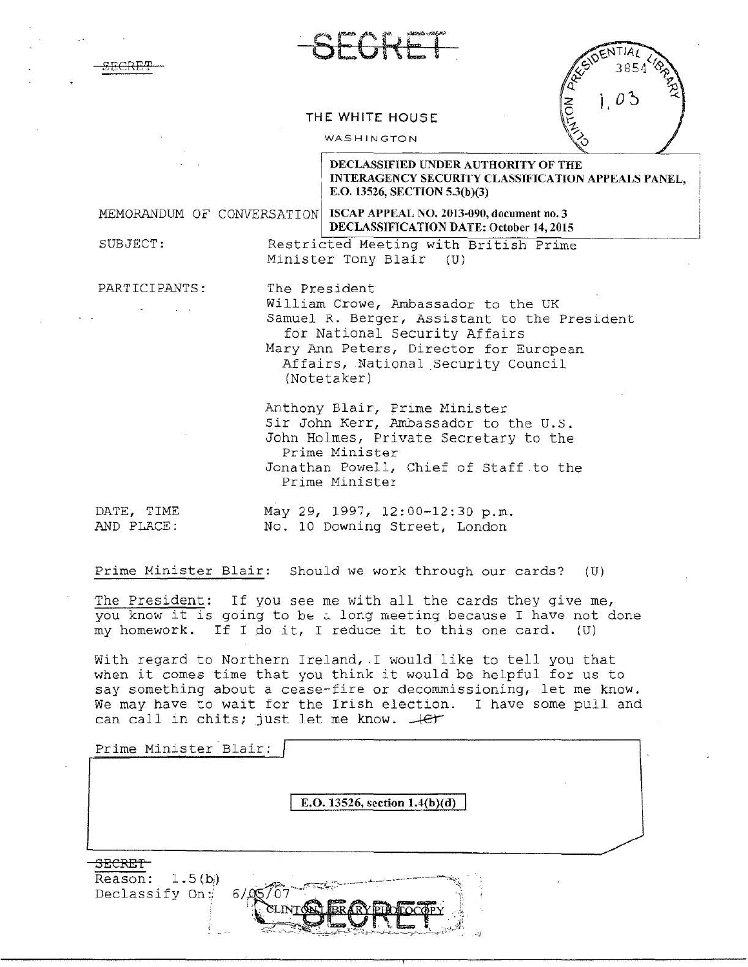SECRET



| ENTIA<br>W |  |
|------------|--|
| 3854       |  |
|            |  |
|            |  |
|            |  |

## THE WHITE HOUSE

## WASHINGTON

Minister Tony Blair (U)

DECLASSIFIED UNDER AUTHORITY OF THE INTERAGENCY SECURITY CLASSIFICATION APPEALS PANEL, E.O. 13526, SECTION 5.3(b)(3)

MEMORANDUM OF CONVERSATION ISCAP APPEAL NO. 2013-090, document no. 3

## DECLASSIFICATION DATE: October 14,2015 SUBJECT: Restricted Meeting with British Prime

PARTICIPANTS: The President

I

William Crowe, Ambassador to the UK Samuel R. Berger, Assistant to the President for National Security Affairs Mary Ann Peters, Director for European Affairs, National Security Council (Notetaker)

Anthony Blair, Prime Minister Sir John Kerr, Ambassador to the U.S. John Holmes, Private Secretary to the Prime Minister Jonathan Powell, Chief of Staff.to the Prime Minister

DATE, TIME May 29, 1997, 12:00-12:30 p.m. AND PLACE: No. 10 Downing Street, London

Prime Minister Blair: Should we work through our cards? (U)

The President: If you see me with all the cards they give me, you know it is going to be  $\overline{a}$  long meeting because I have not done my homework. If I do it, I reduce it to this one card.  $(U)$ 

With regard to Northern Ireland, I would like to tell you that when it comes time that you think it would be helpful for us to say something about a cease-fire or decommissioning, let me know. We may have to wait for the Irish election. I have some pull and can call in chits; just let me know.  $-$ .  $\ell$ et

| Prime Minister Blair:                       |                               |  |
|---------------------------------------------|-------------------------------|--|
|                                             | E.O. 13526, section 1.4(b)(d) |  |
| המממי                                       |                               |  |
| 1.5(b)<br>Reason:<br>Declassify On:<br>6/05 | mas Princess                  |  |
|                                             | CLIN<br>$-2$                  |  |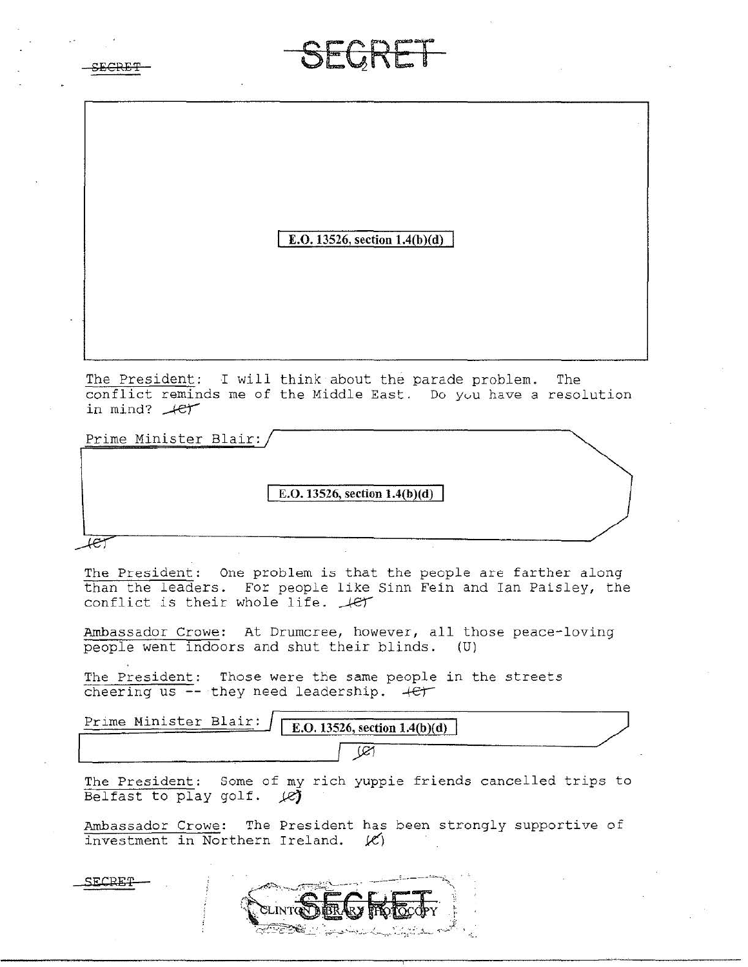| SEGRET                                                                                                                                                                      |  |  |  |  |
|-----------------------------------------------------------------------------------------------------------------------------------------------------------------------------|--|--|--|--|
| E.O. 13526, section 1.4(b)(d)                                                                                                                                               |  |  |  |  |
| The President: I will think about the parade problem.<br>The<br>conflict reminds me of the Middle East. Do you have a resolution<br>in mind? $#er$                          |  |  |  |  |
| Prime Minister Blair:<br>E.O. 13526, section 1.4(b)(d)<br>æ,                                                                                                                |  |  |  |  |
| The President:<br>One problem is that the people are farther along<br>than the leaders. For people like Sinn Fein and Ian Paisley, the<br>conflict is their whole life. Jet |  |  |  |  |
| Ambassador Crowe: At Drumcree, however, all those peace-loving<br>people went indoors and shut their blinds.<br>(U)                                                         |  |  |  |  |
| The President: Those were the same people in the streets<br>cheering us $-$ -they need leadership. $+e$                                                                     |  |  |  |  |
| Prime Minister Blair:<br>E.O. 13526, section 1.4(b)(d)<br>œ                                                                                                                 |  |  |  |  |
| The President: Some of my rich yuppie friends cancelled trips to<br>Belfast to play golf. $\cancel{\varnothing}$                                                            |  |  |  |  |
| Ambassador Crowe: The President has been strongly supportive of<br>investment in Northern Ireland. (C)                                                                      |  |  |  |  |
| SECPE                                                                                                                                                                       |  |  |  |  |

 $\sim$  10